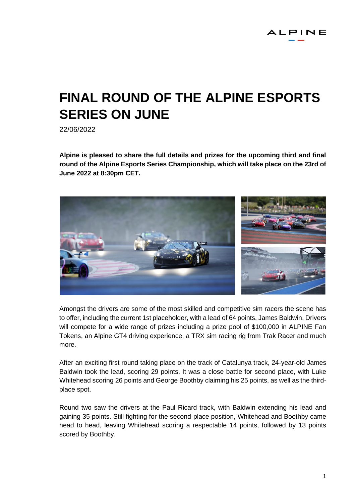# **FINAL ROUND OF THE ALPINE ESPORTS SERIES ON JUNE**

22/06/2022

**Alpine is pleased to share the full details and prizes for the upcoming third and final round of the Alpine Esports Series Championship, which will take place on the 23rd of June 2022 at 8:30pm CET.** 



Amongst the drivers are some of the most skilled and competitive sim racers the scene has to offer, including the current 1st placeholder, with a lead of 64 points, James Baldwin. Drivers will compete for a wide range of prizes including a prize pool of \$100,000 in ALPINE Fan Tokens, an Alpine GT4 driving experience, a TRX sim racing rig from Trak Racer and much more.

After an exciting first round taking place on the track of Catalunya track, 24-year-old James Baldwin took the lead, scoring 29 points. It was a close battle for second place, with Luke Whitehead scoring 26 points and George Boothby claiming his 25 points, as well as the thirdplace spot.

Round two saw the drivers at the Paul Ricard track, with Baldwin extending his lead and gaining 35 points. Still fighting for the second-place position, Whitehead and Boothby came head to head, leaving Whitehead scoring a respectable 14 points, followed by 13 points scored by Boothby.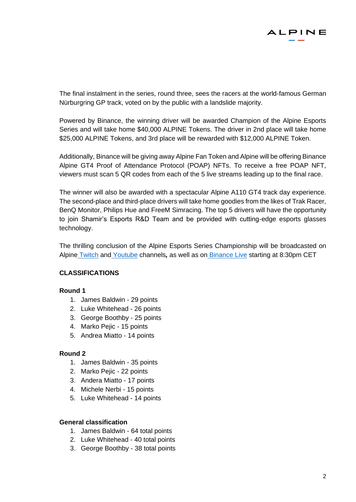

The final instalment in the series, round three, sees the racers at the world-famous German Nürburgring GP track, voted on by the public with a landslide majority.

Powered by Binance, the winning driver will be awarded Champion of the Alpine Esports Series and will take home \$40,000 ALPINE Tokens. The driver in 2nd place will take home \$25,000 ALPINE Tokens, and 3rd place will be rewarded with \$12,000 ALPINE Token.

Additionally, Binance will be giving away Alpine Fan Token and Alpine will be offering Binance Alpine GT4 Proof of Attendance Protocol (POAP) NFTs. To receive a free POAP NFT, viewers must scan 5 QR codes from each of the 5 live streams leading up to the final race.

The winner will also be awarded with a spectacular Alpine A110 GT4 track day experience. The second-place and third-place drivers will take home goodies from the likes of Trak Racer, BenQ Monitor, Philips Hue and FreeM Simracing. The top 5 drivers will have the opportunity to join Shamir's Esports R&D Team and be provided with cutting-edge esports glasses technology.

The thrilling conclusion of the Alpine Esports Series Championship will be broadcasted on Alpine [Twitch](http://www.twitch.tv/alpine) an[d](https://www.youtube.com/c/AlpineCars) [Youtube](https://www.youtube.com/c/AlpineCars) channels*,* as well as o[n](https://www.binance.com/en/live) [Binance Live](https://www.binance.com/en/live) starting at 8:30pm CET

## **CLASSIFICATIONS**

## **Round 1**

- 1. James Baldwin 29 points
- 2. Luke Whitehead 26 points
- 3. George Boothby 25 points
- 4. Marko Pejic 15 points
- 5. Andrea Miatto 14 points

#### **Round 2**

- 1. James Baldwin 35 points
- 2. Marko Pejic 22 points
- 3. Andera Miatto 17 points
- 4. Michele Nerbi 15 points
- 5. Luke Whitehead 14 points

# **General classification**

- 1. James Baldwin 64 total points
- 2. Luke Whitehead 40 total points
- 3. George Boothby 38 total points